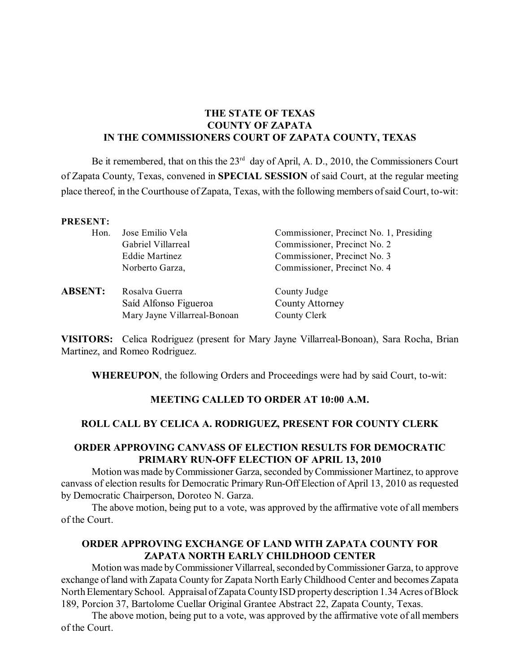## **THE STATE OF TEXAS COUNTY OF ZAPATA IN THE COMMISSIONERS COURT OF ZAPATA COUNTY, TEXAS**

Be it remembered, that on this the  $23<sup>rd</sup>$  day of April, A. D., 2010, the Commissioners Court of Zapata County, Texas, convened in **SPECIAL SESSION** of said Court, at the regular meeting place thereof, in the Courthouse of Zapata, Texas, with the following members of said Court, to-wit:

#### **PRESENT:**

| Hon. | Jose Emilio Vela   | Commissioner, Precinct No. 1, Presiding |
|------|--------------------|-----------------------------------------|
|      | Gabriel Villarreal | Commissioner, Precinct No. 2            |
|      | Eddie Martinez     | Commissioner, Precinct No. 3            |
|      | Norberto Garza,    | Commissioner, Precinct No. 4            |
|      |                    |                                         |
|      |                    |                                         |

**ABSENT:** Rosalva Guerra County Judge Saíd Alfonso Figueroa County Attorney Mary Jayne Villarreal-Bonoan County Clerk

**VISITORS:** Celica Rodriguez (present for Mary Jayne Villarreal-Bonoan), Sara Rocha, Brian Martinez, and Romeo Rodriguez.

**WHEREUPON**, the following Orders and Proceedings were had by said Court, to-wit:

### **MEETING CALLED TO ORDER AT 10:00 A.M.**

### **ROLL CALL BY CELICA A. RODRIGUEZ, PRESENT FOR COUNTY CLERK**

### **ORDER APPROVING CANVASS OF ELECTION RESULTS FOR DEMOCRATIC PRIMARY RUN-OFF ELECTION OF APRIL 13, 2010**

Motion was made byCommissioner Garza, seconded by Commissioner Martinez, to approve canvass of election results for Democratic Primary Run-Off Election of April 13, 2010 as requested by Democratic Chairperson, Doroteo N. Garza.

The above motion, being put to a vote, was approved by the affirmative vote of all members of the Court.

# **ORDER APPROVING EXCHANGE OF LAND WITH ZAPATA COUNTY FOR ZAPATA NORTH EARLY CHILDHOOD CENTER**

Motion was made by Commissioner Villarreal, seconded by Commissioner Garza, to approve exchange of land with Zapata County for Zapata North EarlyChildhood Center and becomes Zapata North Elementary School. Appraisal of Zapata County ISD property description 1.34 Acres of Block 189, Porcion 37, Bartolome Cuellar Original Grantee Abstract 22, Zapata County, Texas.

The above motion, being put to a vote, was approved by the affirmative vote of all members of the Court.